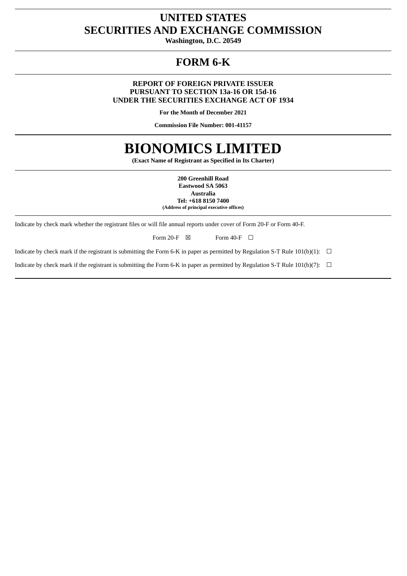# **UNITED STATES SECURITIES AND EXCHANGE COMMISSION**

**Washington, D.C. 20549**

# **FORM 6-K**

## **REPORT OF FOREIGN PRIVATE ISSUER PURSUANT TO SECTION 13a-16 OR 15d-16 UNDER THE SECURITIES EXCHANGE ACT OF 1934**

**For the Month of December 2021**

**Commission File Number: 001-41157**

# **BIONOMICS LIMITED**

**(Exact Name of Registrant as Specified in Its Charter)**

**200 Greenhill Road Eastwood SA 5063 Australia Tel: +618 8150 7400 (Address of principal executive offices)**

Indicate by check mark whether the registrant files or will file annual reports under cover of Form 20-F or Form 40-F.

Form 20-F  $\boxtimes$  Form 40-F  $\Box$ 

Indicate by check mark if the registrant is submitting the Form 6-K in paper as permitted by Regulation S-T Rule  $101(b)(1)$ :  $\Box$ 

Indicate by check mark if the registrant is submitting the Form 6-K in paper as permitted by Regulation S-T Rule 101(b)(7):  $\Box$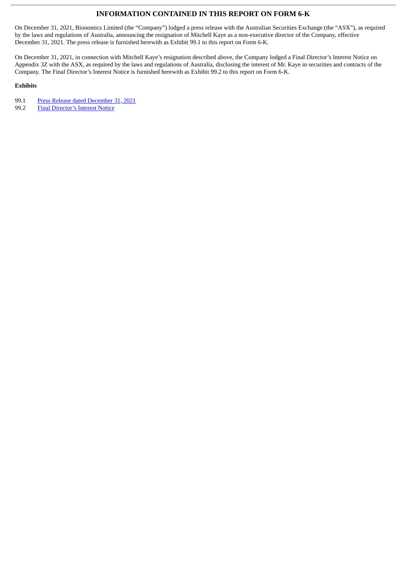## **INFORMATION CONTAINED IN THIS REPORT ON FORM 6-K**

On December 31, 2021, Bionomics Limited (the "Company") lodged a press release with the Australian Securities Exchange (the "ASX"), as required by the laws and regulations of Australia, announcing the resignation of Mitchell Kaye as a non-executive director of the Company, effective December 31, 2021. The press release is furnished herewith as Exhibit 99.1 to this report on Form 6-K.

On December 31, 2021, in connection with Mitchell Kaye's resignation described above, the Company lodged a Final Director's Interest Notice on Appendix 3Z with the ASX, as required by the laws and regulations of Australia, disclosing the interest of Mr. Kaye in securities and contracts of the Company. The Final Director's Interest Notice is furnished herewith as Exhibit 99.2 to this report on Form 6-K.

## **Exhibits**

99.1 Press Release dated [December](#page-3-0) 31, 2021

99.2 Final [Director's](#page-4-0) Interest Notice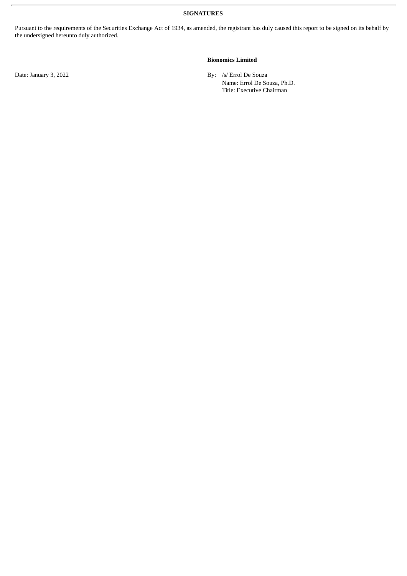**SIGNATURES**

Pursuant to the requirements of the Securities Exchange Act of 1934, as amended, the registrant has duly caused this report to be signed on its behalf by the undersigned hereunto duly authorized.

### **Bionomics Limited**

Date: January 3, 2022 By: /s/ Errol De Souza

Name: Errol De Souza, Ph.D. Title: Executive Chairman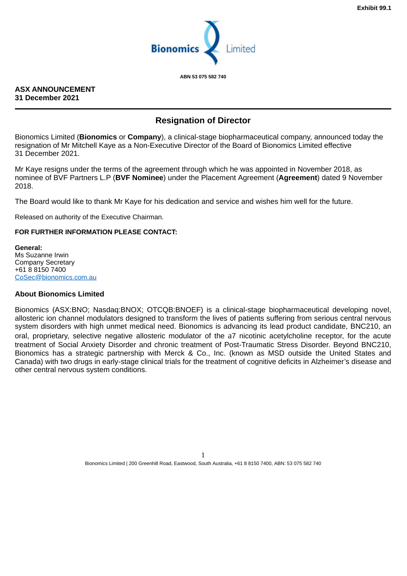

**ABN 53 075 582 740**

## <span id="page-3-0"></span>**ASX ANNOUNCEMENT 31 December 2021**

## **Resignation of Director**

Bionomics Limited (**Bionomics** or **Company**), a clinical-stage biopharmaceutical company, announced today the resignation of Mr Mitchell Kaye as a Non-Executive Director of the Board of Bionomics Limited effective 31 December 2021.

Mr Kaye resigns under the terms of the agreement through which he was appointed in November 2018, as nominee of BVF Partners L.P (**BVF Nominee**) under the Placement Agreement (**Agreement**) dated 9 November 2018.

The Board would like to thank Mr Kaye for his dedication and service and wishes him well for the future.

Released on authority of the Executive Chairman.

## **FOR FURTHER INFORMATION PLEASE CONTACT:**

**General:** Ms Suzanne Irwin Company Secretary +61 8 8150 7400 CoSec@bionomics.com.au

## **About Bionomics Limited**

Bionomics (ASX:BNO; Nasdaq:BNOX; OTCQB:BNOEF) is a clinical-stage biopharmaceutical developing novel, allosteric ion channel modulators designed to transform the lives of patients suffering from serious central nervous system disorders with high unmet medical need. Bionomics is advancing its lead product candidate, BNC210, an oral, proprietary, selective negative allosteric modulator of the a7 nicotinic acetylcholine receptor, for the acute treatment of Social Anxiety Disorder and chronic treatment of Post-Traumatic Stress Disorder. Beyond BNC210, Bionomics has a strategic partnership with Merck & Co., Inc. (known as MSD outside the United States and Canada) with two drugs in early-stage clinical trials for the treatment of cognitive deficits in Alzheimer's disease and other central nervous system conditions.

> 1 Bionomics Limited | 200 Greenhill Road, Eastwood, South Australia, +61 8 8150 7400, ABN: 53 075 582 740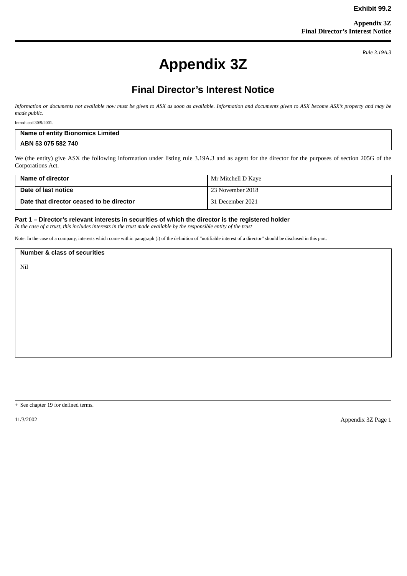*Rule 3.19A.3*

# **Appendix 3Z**

## **Final Director's Interest Notice**

<span id="page-4-0"></span>*Information or documents not available now must be given to ASX as soon as available. Information and documents given to ASX become ASX's property and may be made public.*

Introduced 30/9/2001.

| <b>Name of entity Bionomics Limited</b> |  |
|-----------------------------------------|--|
| ABN 53 075 582 740                      |  |

We (the entity) give ASX the following information under listing rule 3.19A.3 and as agent for the director for the purposes of section 205G of the Corporations Act.

| Name of director                         | Mr Mitchell D Kaye |
|------------------------------------------|--------------------|
| Date of last notice                      | 23 November 2018   |
| Date that director ceased to be director | 31 December 2021   |

#### **Part 1 – Director's relevant interests in securities of which the director is the registered holder**

*In the case of a trust, this includes interests in the trust made available by the responsible entity of the trust*

Note: In the case of a company, interests which come within paragraph (i) of the definition of "notifiable interest of a director" should be disclosed in this part.

**Number & class of securities** Nil

+ See chapter 19 for defined terms.

11/3/2002 Appendix 3Z Page 1